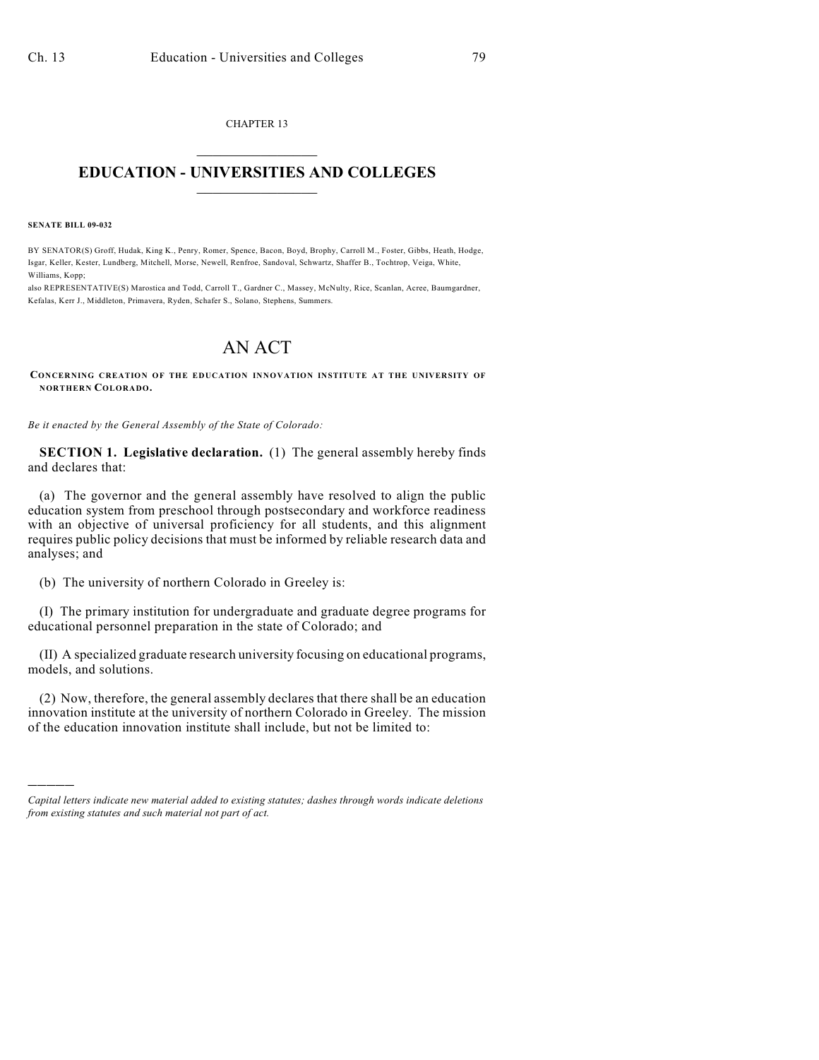CHAPTER 13  $\overline{\phantom{a}}$  . The set of the set of the set of the set of the set of the set of the set of the set of the set of the set of the set of the set of the set of the set of the set of the set of the set of the set of the set o

## **EDUCATION - UNIVERSITIES AND COLLEGES**  $\_$

**SENATE BILL 09-032**

)))))

BY SENATOR(S) Groff, Hudak, King K., Penry, Romer, Spence, Bacon, Boyd, Brophy, Carroll M., Foster, Gibbs, Heath, Hodge, Isgar, Keller, Kester, Lundberg, Mitchell, Morse, Newell, Renfroe, Sandoval, Schwartz, Shaffer B., Tochtrop, Veiga, White, Williams, Kopp;

also REPRESENTATIVE(S) Marostica and Todd, Carroll T., Gardner C., Massey, McNulty, Rice, Scanlan, Acree, Baumgardner, Kefalas, Kerr J., Middleton, Primavera, Ryden, Schafer S., Solano, Stephens, Summers.

## AN ACT

**CONCERNING CREATION OF THE EDUCATION INNOVATION INSTITUTE AT THE UNIVERSITY OF NORTHERN COLORADO.**

*Be it enacted by the General Assembly of the State of Colorado:*

**SECTION 1. Legislative declaration.** (1) The general assembly hereby finds and declares that:

(a) The governor and the general assembly have resolved to align the public education system from preschool through postsecondary and workforce readiness with an objective of universal proficiency for all students, and this alignment requires public policy decisions that must be informed by reliable research data and analyses; and

(b) The university of northern Colorado in Greeley is:

(I) The primary institution for undergraduate and graduate degree programs for educational personnel preparation in the state of Colorado; and

(II) A specialized graduate research university focusing on educational programs, models, and solutions.

(2) Now, therefore, the general assembly declares that there shall be an education innovation institute at the university of northern Colorado in Greeley. The mission of the education innovation institute shall include, but not be limited to:

*Capital letters indicate new material added to existing statutes; dashes through words indicate deletions from existing statutes and such material not part of act.*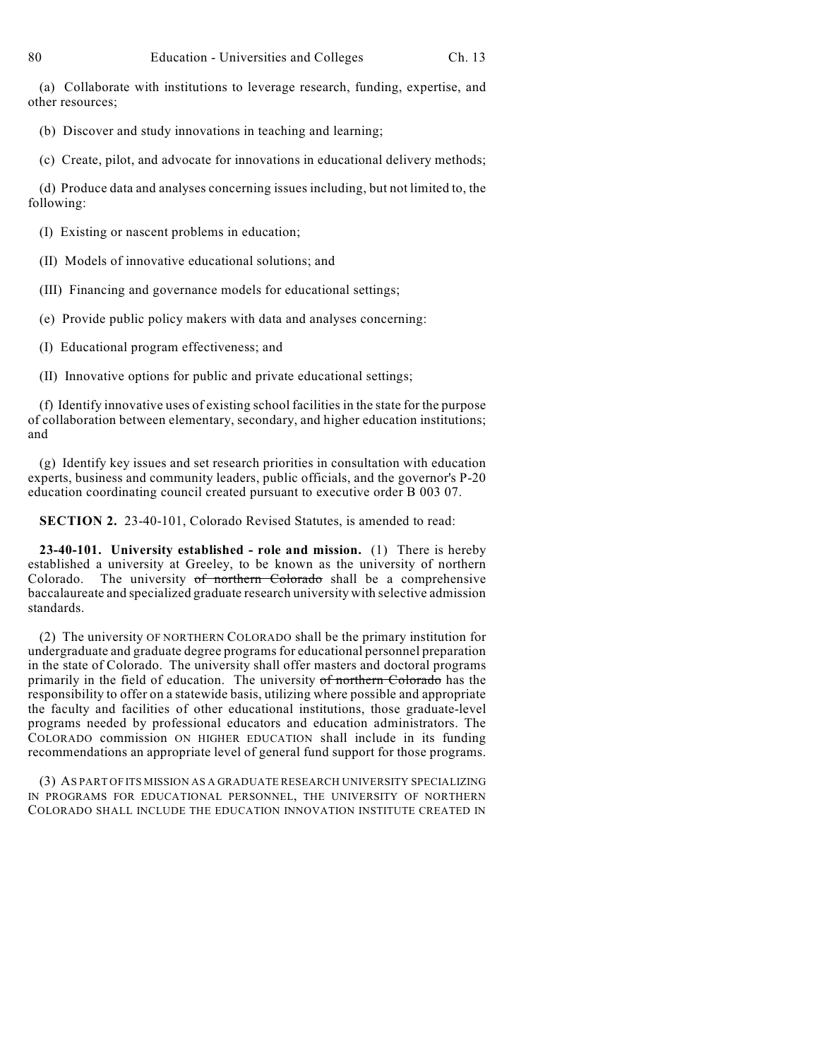(a) Collaborate with institutions to leverage research, funding, expertise, and other resources;

(b) Discover and study innovations in teaching and learning;

(c) Create, pilot, and advocate for innovations in educational delivery methods;

(d) Produce data and analyses concerning issues including, but not limited to, the following:

(I) Existing or nascent problems in education;

(II) Models of innovative educational solutions; and

(III) Financing and governance models for educational settings;

(e) Provide public policy makers with data and analyses concerning:

(I) Educational program effectiveness; and

(II) Innovative options for public and private educational settings;

(f) Identify innovative uses of existing school facilities in the state for the purpose of collaboration between elementary, secondary, and higher education institutions; and

(g) Identify key issues and set research priorities in consultation with education experts, business and community leaders, public officials, and the governor's P-20 education coordinating council created pursuant to executive order B 003 07.

**SECTION 2.** 23-40-101, Colorado Revised Statutes, is amended to read:

**23-40-101. University established - role and mission.** (1) There is hereby established a university at Greeley, to be known as the university of northern Colorado. The university of northern Colorado shall be a comprehensive baccalaureate and specialized graduate research university with selective admission standards.

(2) The university OF NORTHERN COLORADO shall be the primary institution for undergraduate and graduate degree programs for educational personnel preparation in the state of Colorado. The university shall offer masters and doctoral programs primarily in the field of education. The university of northern Colorado has the responsibility to offer on a statewide basis, utilizing where possible and appropriate the faculty and facilities of other educational institutions, those graduate-level programs needed by professional educators and education administrators. The COLORADO commission ON HIGHER EDUCATION shall include in its funding recommendations an appropriate level of general fund support for those programs.

(3) AS PART OF ITS MISSION AS A GRADUATE RESEARCH UNIVERSITY SPECIALIZING IN PROGRAMS FOR EDUCATIONAL PERSONNEL, THE UNIVERSITY OF NORTHERN COLORADO SHALL INCLUDE THE EDUCATION INNOVATION INSTITUTE CREATED IN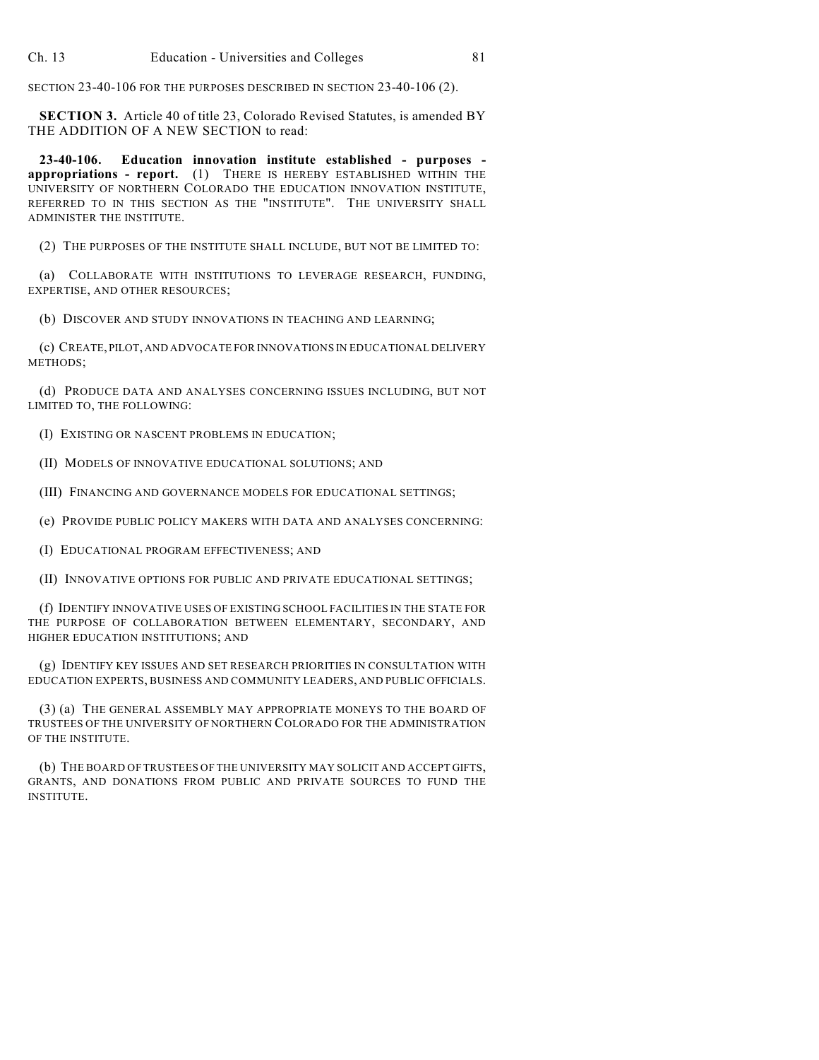SECTION 23-40-106 FOR THE PURPOSES DESCRIBED IN SECTION 23-40-106 (2).

**SECTION 3.** Article 40 of title 23, Colorado Revised Statutes, is amended BY THE ADDITION OF A NEW SECTION to read:

**23-40-106. Education innovation institute established - purposes appropriations - report.** (1) THERE IS HEREBY ESTABLISHED WITHIN THE UNIVERSITY OF NORTHERN COLORADO THE EDUCATION INNOVATION INSTITUTE, REFERRED TO IN THIS SECTION AS THE "INSTITUTE". THE UNIVERSITY SHALL ADMINISTER THE INSTITUTE.

(2) THE PURPOSES OF THE INSTITUTE SHALL INCLUDE, BUT NOT BE LIMITED TO:

(a) COLLABORATE WITH INSTITUTIONS TO LEVERAGE RESEARCH, FUNDING, EXPERTISE, AND OTHER RESOURCES;

(b) DISCOVER AND STUDY INNOVATIONS IN TEACHING AND LEARNING;

(c) CREATE, PILOT, AND ADVOCATE FOR INNOVATIONS IN EDUCATIONAL DELIVERY METHODS;

(d) PRODUCE DATA AND ANALYSES CONCERNING ISSUES INCLUDING, BUT NOT LIMITED TO, THE FOLLOWING:

(I) EXISTING OR NASCENT PROBLEMS IN EDUCATION;

(II) MODELS OF INNOVATIVE EDUCATIONAL SOLUTIONS; AND

(III) FINANCING AND GOVERNANCE MODELS FOR EDUCATIONAL SETTINGS;

(e) PROVIDE PUBLIC POLICY MAKERS WITH DATA AND ANALYSES CONCERNING:

(I) EDUCATIONAL PROGRAM EFFECTIVENESS; AND

(II) INNOVATIVE OPTIONS FOR PUBLIC AND PRIVATE EDUCATIONAL SETTINGS;

(f) IDENTIFY INNOVATIVE USES OF EXISTING SCHOOL FACILITIES IN THE STATE FOR THE PURPOSE OF COLLABORATION BETWEEN ELEMENTARY, SECONDARY, AND HIGHER EDUCATION INSTITUTIONS; AND

(g) IDENTIFY KEY ISSUES AND SET RESEARCH PRIORITIES IN CONSULTATION WITH EDUCATION EXPERTS, BUSINESS AND COMMUNITY LEADERS, AND PUBLIC OFFICIALS.

(3) (a) THE GENERAL ASSEMBLY MAY APPROPRIATE MONEYS TO THE BOARD OF TRUSTEES OF THE UNIVERSITY OF NORTHERN COLORADO FOR THE ADMINISTRATION OF THE INSTITUTE.

(b) THE BOARD OF TRUSTEES OF THE UNIVERSITY MAY SOLICIT AND ACCEPT GIFTS, GRANTS, AND DONATIONS FROM PUBLIC AND PRIVATE SOURCES TO FUND THE INSTITUTE.